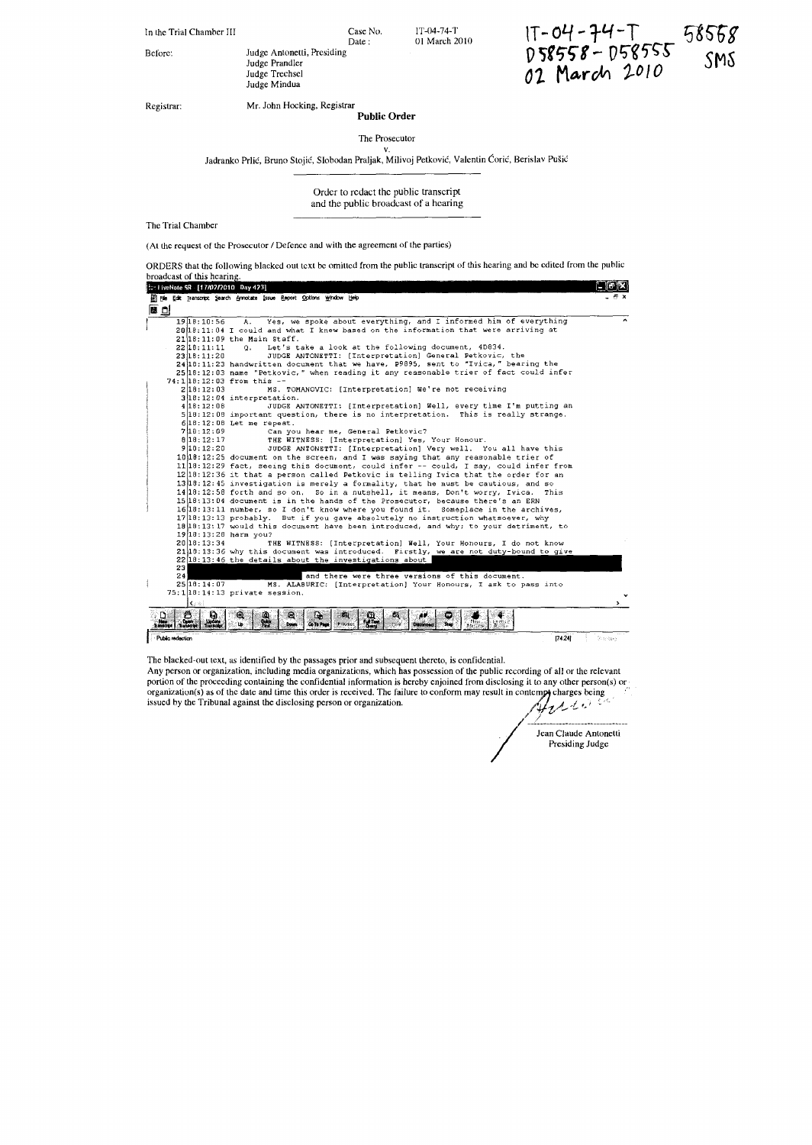In the Trial Chamber III Case No. IT-04-74-T<br>Date : 01 March 20

Before: Judge Antonetti, Presiding Judge Prandler

01 March 2010

Registrar: Mr. John Hocking, Registrar

Public Order

The Prosecutor

v.<br>Jadranko Prlić, Bruno Stojić, Slobodan Praljak, Milivoj Petković, Valentin Ćorić, Berislav Pušić

Order to redact the public transcript and the public broadcast of a hearing

The Trial Chamber

(At the request of the Prosecutor / Defence and with the agreement of the parties)

Judge Trechsel Judge Mindua

ORDERS that the following blacked out text be omitted from the public transcript of this hearing and be edited from the public broadcast of this hearing,

| огодисам от шіз псагіну.<br>[brilliveNote SR   [17/02/2010 Day 423]                                                                                                                                                                               |       |
|---------------------------------------------------------------------------------------------------------------------------------------------------------------------------------------------------------------------------------------------------|-------|
| El Elle Edit Transcript Search Annotate Issue Report Options Window Help                                                                                                                                                                          |       |
|                                                                                                                                                                                                                                                   |       |
|                                                                                                                                                                                                                                                   |       |
| Yes, we spoke about everything, and I informed him of everything<br>1918:10:56<br>А.                                                                                                                                                              |       |
| 2018:11:04 I could and what I knew based on the information that were arriving at                                                                                                                                                                 |       |
| 21 18:11:09 the Main Staff.                                                                                                                                                                                                                       |       |
| Let's take a look at the following document, 4D834.<br>22 18:11:11<br>о.                                                                                                                                                                          |       |
| JUDGE ANTONETTI: [Interpretation] General Petkovic, the<br>23 18:11:20                                                                                                                                                                            |       |
| 2418:11:23 handwritten document that we have, P9895, sent to "Ivica," bearing the                                                                                                                                                                 |       |
| 25 18:12:03 name "Petkovic," when reading it any reasonable trier of fact could infer                                                                                                                                                             |       |
| $74:118:12:03$ from this --                                                                                                                                                                                                                       |       |
| 2 18:12:03<br>MS. TOMANOVIC: [Interpretation] We're not receiving                                                                                                                                                                                 |       |
| 318:12:04 interpretation.                                                                                                                                                                                                                         |       |
| 4[18:12:08]<br>JUDGE ANTONETTI: {Interpretation} Well, every time I'm putting an                                                                                                                                                                  |       |
| 518:12:08 important question, there is no interpretation. This is really strange.                                                                                                                                                                 |       |
| $6 18:12:08$ Let me repeat.                                                                                                                                                                                                                       |       |
| 748:12:09<br>Can vou hear me, General Petkovic?                                                                                                                                                                                                   |       |
| 8 18:12:17<br>THE WITNESS: [Interpretation] Yes, Your Honour.                                                                                                                                                                                     |       |
| 9 18:12:20<br>JUDGE ANTONETTI: [Interpretation] Very well. You all have this                                                                                                                                                                      |       |
| 10118:12:25 document on the screen, and I was saying that any reasonable trier of                                                                                                                                                                 |       |
| 11 18:12:29 fact, seeing this document, could infer -- could, I say, could infer from                                                                                                                                                             |       |
| 12 18:12:36 it that a person called Petkovic is telling Ivica that the order for an                                                                                                                                                               |       |
| 13/18:12:45 investigation is merely a formality, that he must be cautious, and so                                                                                                                                                                 |       |
| 14 18:12:58 forth and so on. So in a nutshell, it means, Don't worry, Ivica. This                                                                                                                                                                 |       |
| 15116:13:04 document is in the hands of the Prosecutor, because there's an ERN                                                                                                                                                                    |       |
| 16/18:13:11 number, so I don't know where you found it. Someplace in the archives,                                                                                                                                                                |       |
| 17 18:13:13 probably. But if you gave absolutely no instruction whatsoever, why                                                                                                                                                                   |       |
| 1818:13:17 would this document have been introduced, and why; to your detriment, to                                                                                                                                                               |       |
| 1918:13:28 harm you?                                                                                                                                                                                                                              |       |
| 20[18:13:34]<br>THE WITNESS: [Interpretation] Well, Your Honours, I do not know                                                                                                                                                                   |       |
| 21 18:13:36 why this document was introduced. Firstly, we are not duty-bound to give                                                                                                                                                              |       |
| 22 18:13:46 the details about the investigations about                                                                                                                                                                                            |       |
| 23                                                                                                                                                                                                                                                |       |
| and there were three versions of this document.<br>2.41                                                                                                                                                                                           |       |
| 25 18:14:07<br>MS. ALABURIC: [Interpretation] Your Honours, I ask to pass into                                                                                                                                                                    |       |
| 75:1 18:14:13 private session.                                                                                                                                                                                                                    |       |
| ≰上面                                                                                                                                                                                                                                               | >     |
| 西<br>$\mathbf{p}_i$<br>$\alpha$<br>C5<br>⊛<br>۵<br>Q<br>Ŀь<br>藏<br>œ<br><b>Outde</b><br>$\sigma_{\rm esc}$<br>Linding<br>Transcript<br>Tubecat<br><b>Resour</b><br>-rowl<br>Freutric<br>۱b<br>Dears.<br>Co To Page<br>Disconnect<br>Sec<br>211.00 |       |
| Public redaction<br>[74.24]                                                                                                                                                                                                                       | 第12歳の |

Public redaction

The blacked-out text, as identified by the passages prior and subsequent thereto, is confidential. Any person or organization, including media organizations, which has possession of the public recording of all or the relevant portion of the proceeding containing the confidential information is hereby enjoined from disclosing it to any other person(s) or organization(s) as of the date and time this order is received. The failure to conform may

~-!---------------------------- , Jean Claude Antonetti Presiding Judge